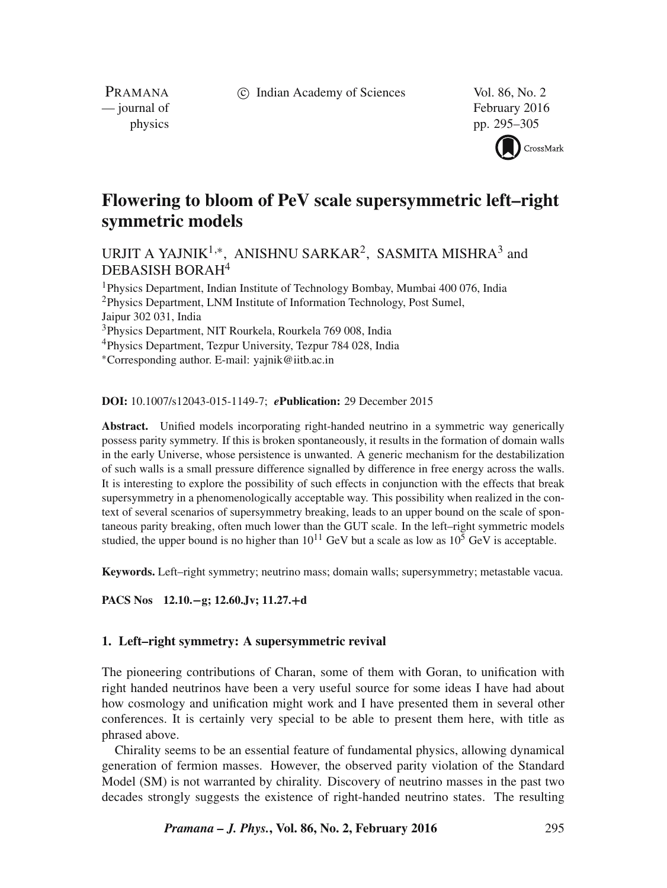c Indian Academy of Sciences Vol. 86, No. 2

PRAMANA

— journal of February 2016 physics pp. 295–305



# **Flowering to bloom of PeV scale supersymmetric left–right symmetric models**

URJIT A YAJNIK $^{1,*}$ , ANISHNU SARKAR $^{2}$ , SASMITA MISHRA $^{3}$  and DEBASISH BORAH<sup>4</sup>

Physics Department, Indian Institute of Technology Bombay, Mumbai 400 076, India Physics Department, LNM Institute of Information Technology, Post Sumel, Jaipur 302 031, India Physics Department, NIT Rourkela, Rourkela 769 008, India

<sup>4</sup>Physics Department, Tezpur University, Tezpur 784 028, India

<sup>∗</sup>Corresponding author. E-mail: yajnik@iitb.ac.in

**DOI:** 10.1007/s12043-015-1149-7; *e***Publication:** 29 December 2015

**Abstract.** Unified models incorporating right-handed neutrino in a symmetric way generically possess parity symmetry. If this is broken spontaneously, it results in the formation of domain walls in the early Universe, whose persistence is unwanted. A generic mechanism for the destabilization of such walls is a small pressure difference signalled by difference in free energy across the walls. It is interesting to explore the possibility of such effects in conjunction with the effects that break supersymmetry in a phenomenologically acceptable way. This possibility when realized in the context of several scenarios of supersymmetry breaking, leads to an upper bound on the scale of spontaneous parity breaking, often much lower than the GUT scale. In the left–right symmetric models studied, the upper bound is no higher than  $10^{11}$  GeV but a scale as low as  $10^5$  GeV is acceptable.

**Keywords.** Left–right symmetry; neutrino mass; domain walls; supersymmetry; metastable vacua.

**PACS Nos 12.10.**−**g; 12.60.Jv; 11.27.**+**d**

# **1. Left–right symmetry: A supersymmetric revival**

The pioneering contributions of Charan, some of them with Goran, to unification with right handed neutrinos have been a very useful source for some ideas I have had about how cosmology and unification might work and I have presented them in several other conferences. It is certainly very special to be able to present them here, with title as phrased above.

Chirality seems to be an essential feature of fundamental physics, allowing dynamical generation of fermion masses. However, the observed parity violation of the Standard Model (SM) is not warranted by chirality. Discovery of neutrino masses in the past two decades strongly suggests the existence of right-handed neutrino states. The resulting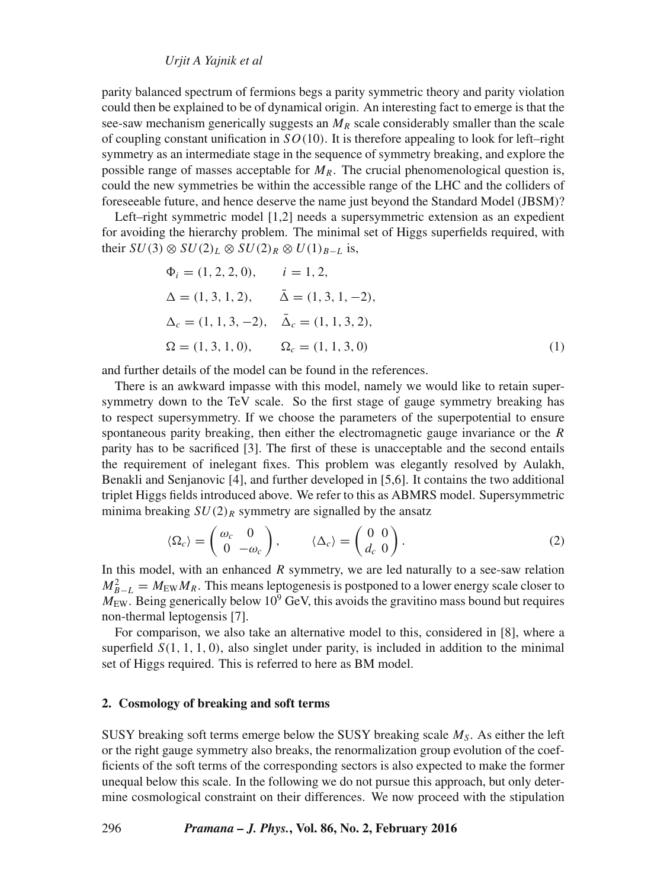*Urjit A Yajnik et al*

parity balanced spectrum of fermions begs a parity symmetric theory and parity violation could then be explained to be of dynamical origin. An interesting fact to emerge is that the see-saw mechanism generically suggests an  $M_R$  scale considerably smaller than the scale of coupling constant unification in  $SO(10)$ . It is therefore appealing to look for left–right symmetry as an intermediate stage in the sequence of symmetry breaking, and explore the possible range of masses acceptable for  $M_R$ . The crucial phenomenological question is, could the new symmetries be within the accessible range of the LHC and the colliders of foreseeable future, and hence deserve the name just beyond the Standard Model (JBSM)?

Left–right symmetric model [1,2] needs a supersymmetric extension as an expedient for avoiding the hierarchy problem. The minimal set of Higgs superfields required, with their  $SU(3) \otimes SU(2)_L \otimes SU(2)_R \otimes U(1)_{B-L}$  is,

$$
\Phi_i = (1, 2, 2, 0), \qquad i = 1, 2,
$$
  
\n
$$
\Delta = (1, 3, 1, 2), \qquad \bar{\Delta} = (1, 3, 1, -2),
$$
  
\n
$$
\Delta_c = (1, 1, 3, -2), \qquad \bar{\Delta}_c = (1, 1, 3, 2),
$$
  
\n
$$
\Omega = (1, 3, 1, 0), \qquad \Omega_c = (1, 1, 3, 0)
$$
 (1)

and further details of the model can be found in the references.

There is an awkward impasse with this model, namely we would like to retain supersymmetry down to the TeV scale. So the first stage of gauge symmetry breaking has to respect supersymmetry. If we choose the parameters of the superpotential to ensure spontaneous parity breaking, then either the electromagnetic gauge invariance or the  $R$ parity has to be sacrificed [3]. The first of these is unacceptable and the second entails the requirement of inelegant fixes. This problem was elegantly resolved by Aulakh, Benakli and Senjanovic [4], and further developed in [5,6]. It contains the two additional triplet Higgs fields introduced above. We refer to this as ABMRS model. Supersymmetric minima breaking  $SU(2)_R$  symmetry are signalled by the ansatz

$$
\langle \Omega_c \rangle = \begin{pmatrix} \omega_c & 0 \\ 0 & -\omega_c \end{pmatrix}, \qquad \langle \Delta_c \rangle = \begin{pmatrix} 0 & 0 \\ d_c & 0 \end{pmatrix}.
$$
 (2)

In this model, with an enhanced  $R$  symmetry, we are led naturally to a see-saw relation  $M_{B-L}^2 = M_{EW} M_R$ . This means leptogenesis is postponed to a lower energy scale closer to  $M_{\text{EW}}$ . Being generically below 10<sup>9</sup> GeV, this avoids the gravitino mass bound but requires non-thermal leptogensis [7].

For comparison, we also take an alternative model to this, considered in [8], where a superfield  $S(1, 1, 1, 0)$ , also singlet under parity, is included in addition to the minimal set of Higgs required. This is referred to here as BM model.

#### **2. Cosmology of breaking and soft terms**

SUSY breaking soft terms emerge below the SUSY breaking scale  $M<sub>S</sub>$ . As either the left or the right gauge symmetry also breaks, the renormalization group evolution of the coefficients of the soft terms of the corresponding sectors is also expected to make the former unequal below this scale. In the following we do not pursue this approach, but only determine cosmological constraint on their differences. We now proceed with the stipulation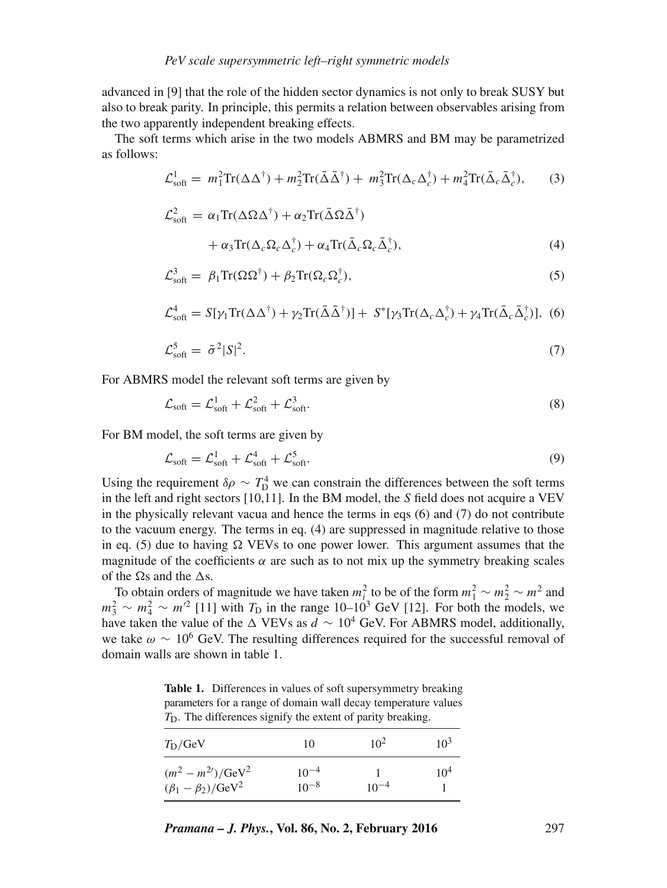advanced in [9] that the role of the hidden sector dynamics is not only to break SUSY but also to break parity. In principle, this permits a relation between observables arising from the two apparently independent breaking effects.

The soft terms which arise in the two models ABMRS and BM may be parametrized as follows:

$$
\mathcal{L}_{\text{soft}}^1 = m_1^2 \text{Tr}(\Delta \Delta^{\dagger}) + m_2^2 \text{Tr}(\bar{\Delta} \bar{\Delta}^{\dagger}) + m_3^2 \text{Tr}(\Delta_c \Delta_c^{\dagger}) + m_4^2 \text{Tr}(\bar{\Delta}_c \bar{\Delta}_c^{\dagger}), \qquad (3)
$$

$$
\mathcal{L}_{\text{soft}}^2 = \alpha_1 \text{Tr}(\Delta \Omega \Delta^{\dagger}) + \alpha_2 \text{Tr}(\bar{\Delta} \Omega \bar{\Delta}^{\dagger}) \n+ \alpha_3 \text{Tr}(\Delta_c \Omega_c \Delta_c^{\dagger}) + \alpha_4 \text{Tr}(\bar{\Delta}_c \Omega_c \bar{\Delta}_c^{\dagger}),
$$
\n(4)

$$
\mathcal{L}_{\text{soft}}^3 = \beta_1 \text{Tr}(\Omega \Omega^{\dagger}) + \beta_2 \text{Tr}(\Omega_c \Omega_c^{\dagger}), \tag{5}
$$

$$
\mathcal{L}_{\text{soft}}^4 = S[\gamma_1 \text{Tr}(\Delta \Delta^{\dagger}) + \gamma_2 \text{Tr}(\bar{\Delta} \bar{\Delta}^{\dagger})] + S^*[\gamma_3 \text{Tr}(\Delta_c \Delta_c^{\dagger}) + \gamma_4 \text{Tr}(\bar{\Delta}_c \bar{\Delta}_c^{\dagger})], \tag{6}
$$

$$
\mathcal{L}_{\text{soft}}^5 = \tilde{\sigma}^2 |S|^2. \tag{7}
$$

For ABMRS model the relevant soft terms are given by

$$
\mathcal{L}_{\text{soft}} = \mathcal{L}_{\text{soft}}^1 + \mathcal{L}_{\text{soft}}^2 + \mathcal{L}_{\text{soft}}^3. \tag{8}
$$

For BM model, the soft terms are given by

$$
\mathcal{L}_{\text{soft}} = \mathcal{L}_{\text{soft}}^1 + \mathcal{L}_{\text{soft}}^4 + \mathcal{L}_{\text{soft}}^5. \tag{9}
$$

Using the requirement  $\delta \rho \sim T_{\rm D}^4$  we can constrain the differences between the soft terms in the left and right sectors [10,11]. In the BM model, the S field does not acquire a VEV in the physically relevant vacua and hence the terms in eqs (6) and (7) do not contribute to the vacuum energy. The terms in eq. (4) are suppressed in magnitude relative to those in eq. (5) due to having  $\Omega$  VEVs to one power lower. This argument assumes that the magnitude of the coefficients  $\alpha$  are such as to not mix up the symmetry breaking scales of the  $\Omega$ s and the  $\Delta$ s.

To obtain orders of magnitude we have taken  $m_i^2$  to be of the form  $m_1^2 \sim m_2^2 \sim m^2$  and  $m_3^2 \sim m_4^2 \sim m^2$  [11] with  $T_D$  in the range 10–10<sup>3</sup> GeV [12]. For both the models, we have taken the value of the  $\triangle$  VEVs as  $d \sim 10^4$  GeV. For ABMRS model, additionally, we take  $\omega \sim 10^6$  GeV. The resulting differences required for the successful removal of domain walls are shown in table 1.

**Table 1.** Differences in values of soft supersymmetry breaking parameters for a range of domain wall decay temperature values  $T<sub>D</sub>$ . The differences signify the extent of parity breaking.

| $T_{\rm D}/\rm GeV$                                            | 10                     | $10^2$    | $10^3$          |
|----------------------------------------------------------------|------------------------|-----------|-----------------|
| $(m^2 - m^2)/{\rm GeV}^2$<br>$(\beta_1 - \beta_2)/{\rm GeV}^2$ | $10^{-4}$<br>$10^{-8}$ | $10^{-4}$ | 10 <sup>4</sup> |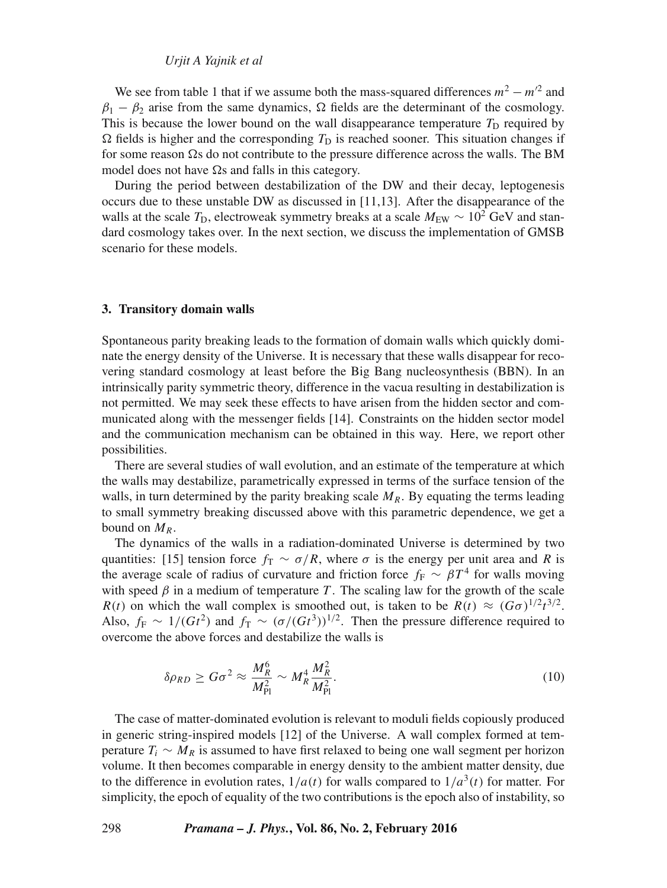#### *Urjit A Yajnik et al*

We see from table 1 that if we assume both the mass-squared differences  $m^2 - m'^2$  and  $\beta_1 - \beta_2$  arise from the same dynamics,  $\Omega$  fields are the determinant of the cosmology. This is because the lower bound on the wall disappearance temperature  $T_D$  required by  $\Omega$  fields is higher and the corresponding  $T<sub>D</sub>$  is reached sooner. This situation changes if for some reason  $\Omega$ s do not contribute to the pressure difference across the walls. The BM model does not have  $\Omega$ s and falls in this category.

During the period between destabilization of the DW and their decay, leptogenesis occurs due to these unstable DW as discussed in [11,13]. After the disappearance of the walls at the scale  $T_D$ , electroweak symmetry breaks at a scale  $M_{\text{EW}} \sim 10^2$  GeV and standard cosmology takes over. In the next section, we discuss the implementation of GMSB scenario for these models.

#### **3. Transitory domain walls**

Spontaneous parity breaking leads to the formation of domain walls which quickly dominate the energy density of the Universe. It is necessary that these walls disappear for recovering standard cosmology at least before the Big Bang nucleosynthesis (BBN). In an intrinsically parity symmetric theory, difference in the vacua resulting in destabilization is not permitted. We may seek these effects to have arisen from the hidden sector and communicated along with the messenger fields [14]. Constraints on the hidden sector model and the communication mechanism can be obtained in this way. Here, we report other possibilities.

There are several studies of wall evolution, and an estimate of the temperature at which the walls may destabilize, parametrically expressed in terms of the surface tension of the walls, in turn determined by the parity breaking scale  $M_R$ . By equating the terms leading to small symmetry breaking discussed above with this parametric dependence, we get a bound on  $M_R$ .

The dynamics of the walls in a radiation-dominated Universe is determined by two quantities: [15] tension force  $f_T \sim \sigma/R$ , where  $\sigma$  is the energy per unit area and R is the average scale of radius of curvature and friction force  $f_F \sim \beta T^4$  for walls moving with speed  $\beta$  in a medium of temperature T. The scaling law for the growth of the scale  $R(t)$  on which the wall complex is smoothed out, is taken to be  $R(t) \approx (G\sigma)^{1/2}t^{3/2}$ . Also,  $f_F \sim 1/(Gt^2)$  and  $f_T \sim (\sigma/(Gt^3))^{1/2}$ . Then the pressure difference required to overcome the above forces and destabilize the walls is

$$
\delta \rho_{RD} \ge G \sigma^2 \approx \frac{M_R^6}{M_{\rm Pl}^2} \sim M_R^4 \frac{M_R^2}{M_{\rm Pl}^2}.
$$
\n(10)

The case of matter-dominated evolution is relevant to moduli fields copiously produced in generic string-inspired models [12] of the Universe. A wall complex formed at temperature  $T_i \sim M_R$  is assumed to have first relaxed to being one wall segment per horizon volume. It then becomes comparable in energy density to the ambient matter density, due to the difference in evolution rates,  $1/a(t)$  for walls compared to  $1/a<sup>3</sup>(t)$  for matter. For simplicity, the epoch of equality of the two contributions is the epoch also of instability, so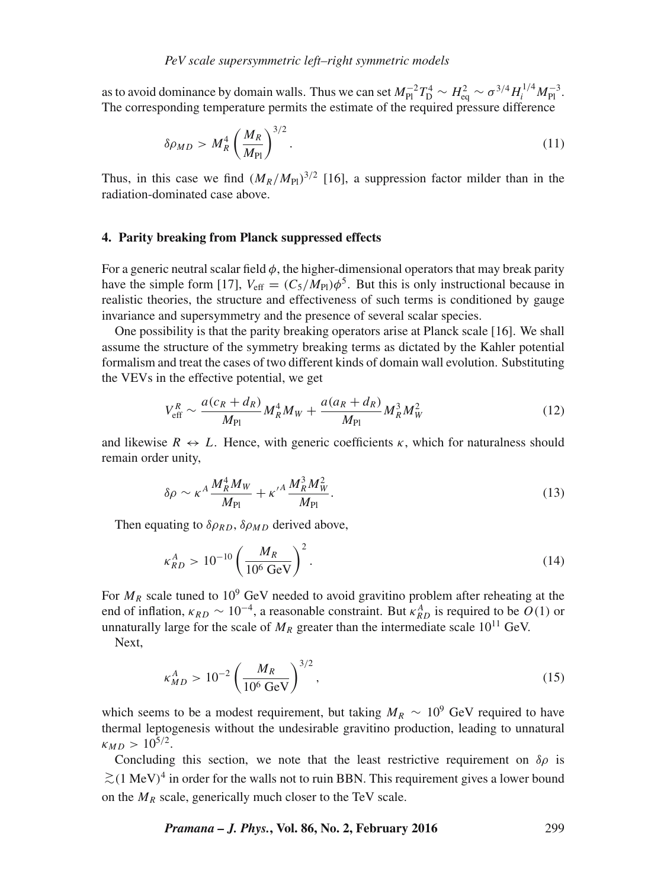as to avoid dominance by domain walls. Thus we can set  $M_{\rm Pl}^{-2}T_{\rm D}^4 \sim H_{\rm eq}^2 \sim \sigma^{3/4}H_i^{1/4}M_{\rm Pl}^{-3}$ . The corresponding temperature permits the estimate of the required pressure difference

$$
\delta \rho_{MD} > M_R^4 \left(\frac{M_R}{M_{\text{Pl}}}\right)^{3/2}.\tag{11}
$$

Thus, in this case we find  $(M_R/M_{Pl})^{3/2}$  [16], a suppression factor milder than in the radiation-dominated case above.

## **4. Parity breaking from Planck suppressed effects**

For a generic neutral scalar field  $\phi$ , the higher-dimensional operators that may break parity have the simple form [17],  $V_{\text{eff}} = (C_5/M_{\text{Pl}})\phi^5$ . But this is only instructional because in realistic theories, the structure and effectiveness of such terms is conditioned by gauge invariance and supersymmetry and the presence of several scalar species.

One possibility is that the parity breaking operators arise at Planck scale [16]. We shall assume the structure of the symmetry breaking terms as dictated by the Kahler potential formalism and treat the cases of two different kinds of domain wall evolution. Substituting the VEVs in the effective potential, we get

$$
V_{\rm eff}^R \sim \frac{a(c_R + d_R)}{M_{\rm Pl}} M_R^4 M_W + \frac{a(a_R + d_R)}{M_{\rm Pl}} M_R^3 M_W^2 \tag{12}
$$

and likewise  $R \leftrightarrow L$ . Hence, with generic coefficients  $\kappa$ , which for naturalness should remain order unity,

$$
\delta \rho \sim \kappa^A \frac{M_R^4 M_W}{M_{\rm Pl}} + \kappa^{\prime A} \frac{M_R^3 M_W^2}{M_{\rm Pl}}.
$$
\n(13)

Then equating to  $\delta \rho_{RD}$ ,  $\delta \rho_{MD}$  derived above,

$$
\kappa_{RD}^A > 10^{-10} \left( \frac{M_R}{10^6 \text{ GeV}} \right)^2. \tag{14}
$$

For  $M_R$  scale tuned to 10<sup>9</sup> GeV needed to avoid gravitino problem after reheating at the end of inflation,  $\kappa_{RD} \sim 10^{-4}$ , a reasonable constraint. But  $\kappa_{RD}^A$  is required to be  $O(1)$  or unnaturally large for the scale of  $M_R$  greater than the intermediate scale 10<sup>11</sup> GeV.

Next,

$$
\kappa_{MD}^A > 10^{-2} \left( \frac{M_R}{10^6 \,\text{GeV}} \right)^{3/2},\tag{15}
$$

which seems to be a modest requirement, but taking  $M_R \sim 10^9$  GeV required to have thermal leptogenesis without the undesirable gravitino production, leading to unnatural  $\kappa_{MD} > 10^{5/2}.$ 

Concluding this section, we note that the least restrictive requirement on  $\delta \rho$  is  $≥$ (1 MeV)<sup>4</sup> in order for the walls not to ruin BBN. This requirement gives a lower bound on the  $M_R$  scale, generically much closer to the TeV scale.

*Pramana – J. Phys.***, Vol. 86, No. 2, February 2016** 299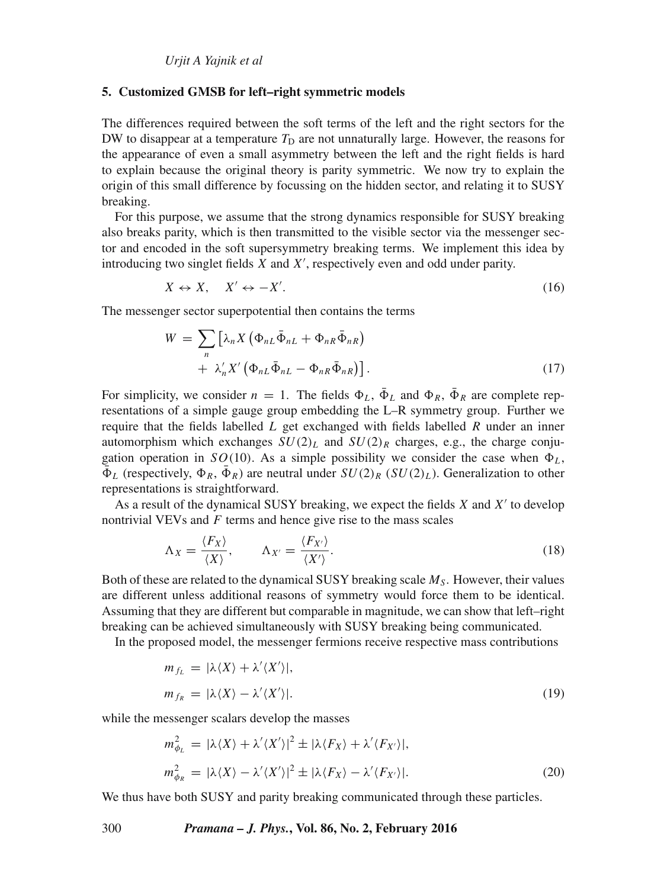#### **5. Customized GMSB for left–right symmetric models**

The differences required between the soft terms of the left and the right sectors for the DW to disappear at a temperature  $T<sub>D</sub>$  are not unnaturally large. However, the reasons for the appearance of even a small asymmetry between the left and the right fields is hard to explain because the original theory is parity symmetric. We now try to explain the origin of this small difference by focussing on the hidden sector, and relating it to SUSY breaking.

For this purpose, we assume that the strong dynamics responsible for SUSY breaking also breaks parity, which is then transmitted to the visible sector via the messenger sector and encoded in the soft supersymmetry breaking terms. We implement this idea by introducing two singlet fields  $X$  and  $X'$ , respectively even and odd under parity.

$$
X \leftrightarrow X, \quad X' \leftrightarrow -X'.
$$
 (16)

The messenger sector superpotential then contains the terms

$$
W = \sum_{n} \left[ \lambda_n X \left( \Phi_{nL} \bar{\Phi}_{nL} + \Phi_{nR} \bar{\Phi}_{nR} \right) + \lambda'_n X' \left( \Phi_{nL} \bar{\Phi}_{nL} - \Phi_{nR} \bar{\Phi}_{nR} \right) \right].
$$
\n(17)

For simplicity, we consider  $n = 1$ . The fields  $\Phi_L$ ,  $\bar{\Phi}_L$  and  $\Phi_R$ ,  $\bar{\Phi}_R$  are complete representations of a simple gauge group embedding the L–R symmetry group. Further we require that the fields labelled  $L$  get exchanged with fields labelled  $R$  under an inner automorphism which exchanges  $SU(2)_L$  and  $SU(2)_R$  charges, e.g., the charge conjugation operation in  $SO(10)$ . As a simple possibility we consider the case when  $\Phi_L$ ,  $\bar{\Phi}_L$  (respectively,  $\Phi_R$ ,  $\bar{\Phi}_R$ ) are neutral under  $SU(2)_R$  ( $SU(2)_L$ ). Generalization to other representations is straightforward.

As a result of the dynamical SUSY breaking, we expect the fields  $X$  and  $X'$  to develop nontrivial VEVs and  $F$  terms and hence give rise to the mass scales

$$
\Lambda_X = \frac{\langle F_X \rangle}{\langle X \rangle}, \qquad \Lambda_{X'} = \frac{\langle F_{X'} \rangle}{\langle X' \rangle}.
$$
\n(18)

Both of these are related to the dynamical SUSY breaking scale  $M<sub>S</sub>$ . However, their values are different unless additional reasons of symmetry would force them to be identical. Assuming that they are different but comparable in magnitude, we can show that left–right breaking can be achieved simultaneously with SUSY breaking being communicated.

In the proposed model, the messenger fermions receive respective mass contributions

$$
m_{f_L} = |\lambda \langle X \rangle + \lambda' \langle X' \rangle|,
$$
  
\n
$$
m_{f_R} = |\lambda \langle X \rangle - \lambda' \langle X' \rangle|.
$$
\n(19)

while the messenger scalars develop the masses

$$
m_{\phi_L}^2 = |\lambda \langle X \rangle + \lambda' \langle X' \rangle|^2 \pm |\lambda \langle F_X \rangle + \lambda' \langle F_{X'} \rangle|,
$$
  

$$
m_{\phi_R}^2 = |\lambda \langle X \rangle - \lambda' \langle X' \rangle|^2 \pm |\lambda \langle F_X \rangle - \lambda' \langle F_{X'} \rangle|.
$$
 (20)

We thus have both SUSY and parity breaking communicated through these particles.

300 *Pramana – J. Phys.***, Vol. 86, No. 2, February 2016**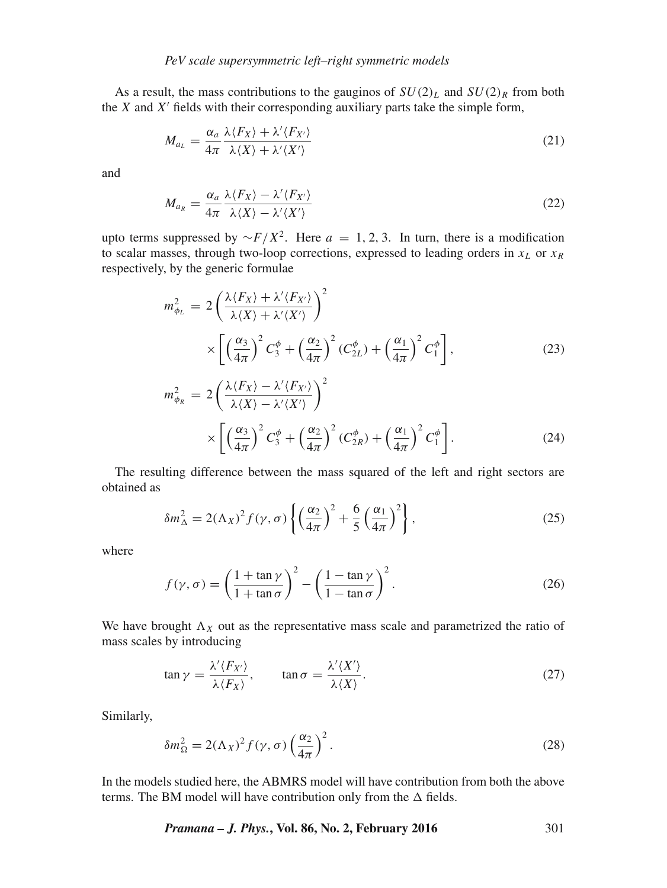As a result, the mass contributions to the gauginos of  $SU(2)_L$  and  $SU(2)_R$  from both the  $X$  and  $X'$  fields with their corresponding auxiliary parts take the simple form,

$$
M_{a_L} = \frac{\alpha_a}{4\pi} \frac{\lambda \langle F_X \rangle + \lambda' \langle F_{X'} \rangle}{\lambda \langle X \rangle + \lambda' \langle X' \rangle} \tag{21}
$$

and

$$
M_{a_R} = \frac{\alpha_a}{4\pi} \frac{\lambda \langle F_X \rangle - \lambda' \langle F_{X'} \rangle}{\lambda \langle X \rangle - \lambda' \langle X' \rangle} \tag{22}
$$

upto terms suppressed by  $\sim F/X^2$ . Here  $a = 1, 2, 3$ . In turn, there is a modification to scalar masses, through two-loop corrections, expressed to leading orders in  $x_L$  or  $x_R$ respectively, by the generic formulae

$$
m_{\phi_L}^2 = 2\left(\frac{\lambda \langle F_X \rangle + \lambda' \langle F_{X'} \rangle}{\lambda \langle X \rangle + \lambda' \langle X' \rangle}\right)^2
$$
  
 
$$
\times \left[ \left(\frac{\alpha_3}{4\pi}\right)^2 C_3^{\phi} + \left(\frac{\alpha_2}{4\pi}\right)^2 (C_{2L}^{\phi}) + \left(\frac{\alpha_1}{4\pi}\right)^2 C_1^{\phi} \right],
$$
 (23)  

$$
m_Z^2 = 2\left(\frac{\lambda \langle F_X \rangle - \lambda' \langle F_{X'} \rangle}{\lambda \langle F_X \rangle}\right)^2
$$

$$
m_{\phi_R}^2 = 2\left(\frac{\lambda \langle F_X \rangle - \lambda' \langle F_{X'} \rangle}{\lambda \langle X \rangle - \lambda' \langle X' \rangle}\right)^2
$$
  
 
$$
\times \left[ \left(\frac{\alpha_3}{4\pi}\right)^2 C_3^{\phi} + \left(\frac{\alpha_2}{4\pi}\right)^2 (C_{2R}^{\phi}) + \left(\frac{\alpha_1}{4\pi}\right)^2 C_1^{\phi} \right].
$$
 (24)

The resulting difference between the mass squared of the left and right sectors are obtained as

$$
\delta m_{\Delta}^2 = 2(\Lambda_X)^2 f(\gamma, \sigma) \left\{ \left(\frac{\alpha_2}{4\pi}\right)^2 + \frac{6}{5} \left(\frac{\alpha_1}{4\pi}\right)^2 \right\},\tag{25}
$$

where

$$
f(\gamma, \sigma) = \left(\frac{1 + \tan \gamma}{1 + \tan \sigma}\right)^2 - \left(\frac{1 - \tan \gamma}{1 - \tan \sigma}\right)^2.
$$
 (26)

We have brought  $\Lambda_X$  out as the representative mass scale and parametrized the ratio of mass scales by introducing

$$
\tan \gamma = \frac{\lambda'(F_{X'})}{\lambda \langle F_X \rangle}, \qquad \tan \sigma = \frac{\lambda' \langle X' \rangle}{\lambda \langle X \rangle}.
$$
 (27)

Similarly,

$$
\delta m_{\Omega}^2 = 2(\Lambda_X)^2 f(\gamma, \sigma) \left(\frac{\alpha_2}{4\pi}\right)^2.
$$
 (28)

In the models studied here, the ABMRS model will have contribution from both the above terms. The BM model will have contribution only from the  $\Delta$  fields.

*Pramana – J. Phys.***, Vol. 86, No. 2, February 2016** 301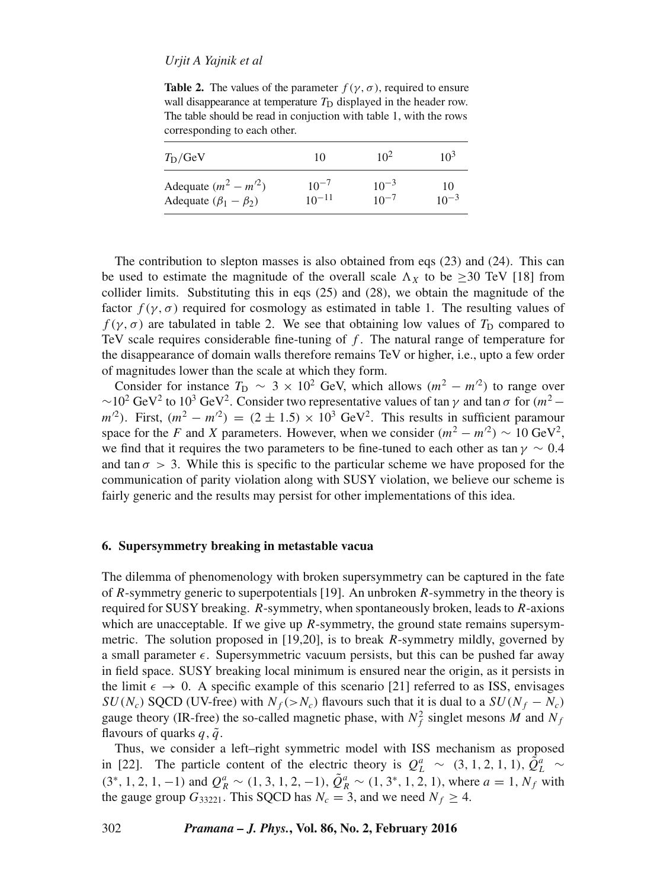# *Urjit A Yajnik et al*

**Table 2.** The values of the parameter  $f(\gamma, \sigma)$ , required to ensure wall disappearance at temperature  $T_D$  displayed in the header row. The table should be read in conjuction with table 1, with the rows corresponding to each other.

| $T_{\rm D}/\rm GeV$            | 10         | $10^2$    | $10^3$    |
|--------------------------------|------------|-----------|-----------|
| Adequate $(m^2 - m^2)$         | $10^{-7}$  | $10^{-3}$ | 10        |
| Adequate $(\beta_1 - \beta_2)$ | $10^{-11}$ | $10^{-7}$ | $10^{-3}$ |

The contribution to slepton masses is also obtained from eqs (23) and (24). This can be used to estimate the magnitude of the overall scale  $\Lambda_X$  to be >30 TeV [18] from collider limits. Substituting this in eqs (25) and (28), we obtain the magnitude of the factor  $f(\gamma, \sigma)$  required for cosmology as estimated in table 1. The resulting values of  $f(\gamma, \sigma)$  are tabulated in table 2. We see that obtaining low values of  $T_D$  compared to TeV scale requires considerable fine-tuning of  $f$ . The natural range of temperature for the disappearance of domain walls therefore remains TeV or higher, i.e., upto a few order of magnitudes lower than the scale at which they form.

Consider for instance  $T_D \sim 3 \times 10^2$  GeV, which allows  $(m^2 - m^2)$  to range over  $\sim$ 10<sup>2</sup> GeV<sup>2</sup> to 10<sup>3</sup> GeV<sup>2</sup>. Consider two representative values of tan  $\gamma$  and tan  $\sigma$  for  $(m^2$  $m^2$ ). First,  $(m^2 - m^2) = (2 \pm 1.5) \times 10^3$  GeV<sup>2</sup>. This results in sufficient paramour space for the F and X parameters. However, when we consider  $(m^2 - m^2) \sim 10 \text{ GeV}^2$ , we find that it requires the two parameters to be fine-tuned to each other as tan  $\gamma \sim 0.4$ and tan  $\sigma > 3$ . While this is specific to the particular scheme we have proposed for the communication of parity violation along with SUSY violation, we believe our scheme is fairly generic and the results may persist for other implementations of this idea.

#### **6. Supersymmetry breaking in metastable vacua**

The dilemma of phenomenology with broken supersymmetry can be captured in the fate of R-symmetry generic to superpotentials [19]. An unbroken  $R$ -symmetry in the theory is required for SUSY breaking.  $R$ -symmetry, when spontaneously broken, leads to  $R$ -axions which are unacceptable. If we give up *-symmetry, the ground state remains supersym*metric. The solution proposed in [19,20], is to break R-symmetry mildly, governed by a small parameter  $\epsilon$ . Supersymmetric vacuum persists, but this can be pushed far away in field space. SUSY breaking local minimum is ensured near the origin, as it persists in the limit  $\epsilon \to 0$ . A specific example of this scenario [21] referred to as ISS, envisages  $SU(N_c)$  SQCD (UV-free) with  $N_f$  (> $N_c$ ) flavours such that it is dual to a  $SU(N_f - N_c)$ gauge theory (IR-free) the so-called magnetic phase, with  $N_f^2$  singlet mesons M and  $N_f$ flavours of quarks  $q, \tilde{q}$ .

Thus, we consider a left–right symmetric model with ISS mechanism as proposed in [22]. The particle content of the electric theory is  $Q_L^a \sim (3, 1, 2, 1, 1), \tilde{Q}_L^a \sim$  $(3^*, 1, 2, 1, -1)$  and  $Q_R^a \sim (1, 3, 1, 2, -1), \tilde{Q}_R^a \sim (1, 3^*, 1, 2, 1)$ , where  $a = 1, N_f$  with the gauge group  $G_{33221}$ . This SQCD has  $N_c = 3$ , and we need  $N_f \geq 4$ .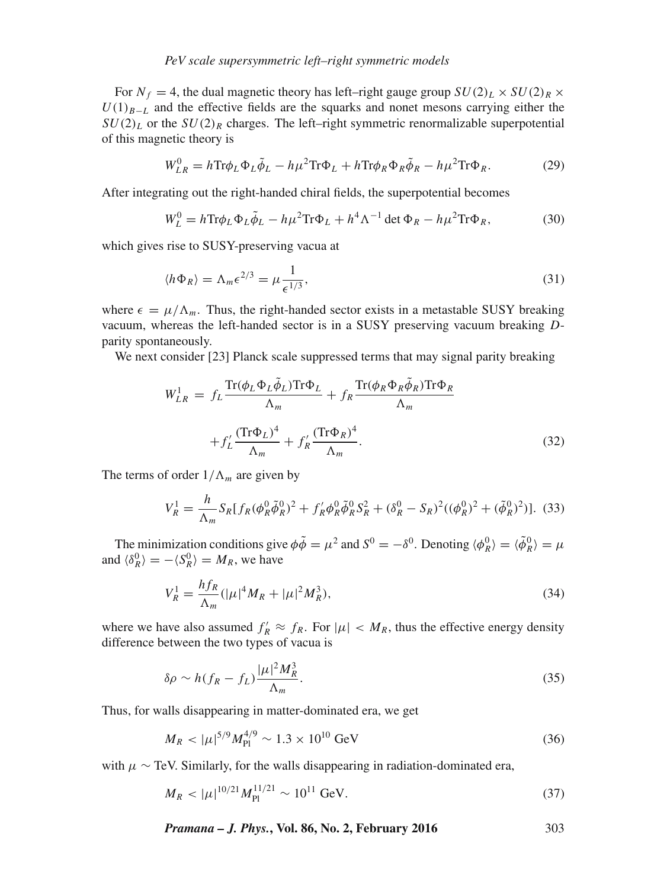# *PeV scale supersymmetric left–right symmetric models*

For  $N_f = 4$ , the dual magnetic theory has left–right gauge group  $SU(2)_L \times SU(2)_R \times$  $U(1)_{B-L}$  and the effective fields are the squarks and nonet mesons carrying either the  $SU(2)_L$  or the  $SU(2)_R$  charges. The left–right symmetric renormalizable superpotential of this magnetic theory is

$$
W_{LR}^0 = h \text{Tr} \phi_L \Phi_L \tilde{\phi}_L - h \mu^2 \text{Tr} \Phi_L + h \text{Tr} \phi_R \Phi_R \tilde{\phi}_R - h \mu^2 \text{Tr} \Phi_R. \tag{29}
$$

After integrating out the right-handed chiral fields, the superpotential becomes

$$
W_L^0 = h \text{Tr} \phi_L \Phi_L \tilde{\phi}_L - h \mu^2 \text{Tr} \Phi_L + h^4 \Lambda^{-1} \det \Phi_R - h \mu^2 \text{Tr} \Phi_R,\tag{30}
$$

which gives rise to SUSY-preserving vacua at

$$
\langle h\Phi_R \rangle = \Lambda_m \epsilon^{2/3} = \mu \frac{1}{\epsilon^{1/3}},\tag{31}
$$

where  $\epsilon = \mu/\Lambda_m$ . Thus, the right-handed sector exists in a metastable SUSY breaking vacuum, whereas the left-handed sector is in a SUSY preserving vacuum breaking Dparity spontaneously.

We next consider [23] Planck scale suppressed terms that may signal parity breaking

$$
W_{LR}^1 = f_L \frac{\text{Tr}(\phi_L \Phi_L \tilde{\phi}_L) \text{Tr} \Phi_L}{\Lambda_m} + f_R \frac{\text{Tr}(\phi_R \Phi_R \tilde{\phi}_R) \text{Tr} \Phi_R}{\Lambda_m}
$$

$$
+ f_L' \frac{(\text{Tr} \Phi_L)^4}{\Lambda_m} + f_R' \frac{(\text{Tr} \Phi_R)^4}{\Lambda_m}.
$$
(32)

The terms of order  $1/\Lambda_m$  are given by

$$
V_R^1 = \frac{h}{\Lambda_m} S_R [f_R(\phi_R^0 \tilde{\phi}_R^0)^2 + f_R' \phi_R^0 \tilde{\phi}_R^0 S_R^2 + (\delta_R^0 - S_R)^2 ((\phi_R^0)^2 + (\tilde{\phi}_R^0)^2)].
$$
 (33)

The minimization conditions give  $\phi \tilde{\phi} = \mu^2$  and  $S^0 = -\delta^0$ . Denoting  $\langle \phi_R^0 \rangle = \langle \tilde{\phi}_R^0 \rangle = \mu$ and  $\langle \delta_R^0 \rangle = -\langle S_R^0 \rangle = M_R$ , we have

$$
V_R^1 = \frac{hf_R}{\Lambda_m} (|\mu|^4 M_R + |\mu|^2 M_R^3),\tag{34}
$$

where we have also assumed  $f'_R \approx f_R$ . For  $|\mu| < M_R$ , thus the effective energy density difference between the two types of vacua is

$$
\delta \rho \sim h(f_R - f_L) \frac{|\mu|^2 M_R^3}{\Lambda_m}.
$$
\n(35)

Thus, for walls disappearing in matter-dominated era, we get

$$
M_R < |\mu|^{5/9} M_{\rm Pl}^{4/9} \sim 1.3 \times 10^{10} \text{ GeV} \tag{36}
$$

with  $\mu \sim$  TeV. Similarly, for the walls disappearing in radiation-dominated era,

$$
M_R < |\mu|^{10/2} M_{\text{Pl}}^{11/21} \sim 10^{11} \text{ GeV}.\tag{37}
$$

*Pramana – J. Phys.***, Vol. 86, No. 2, February 2016** 303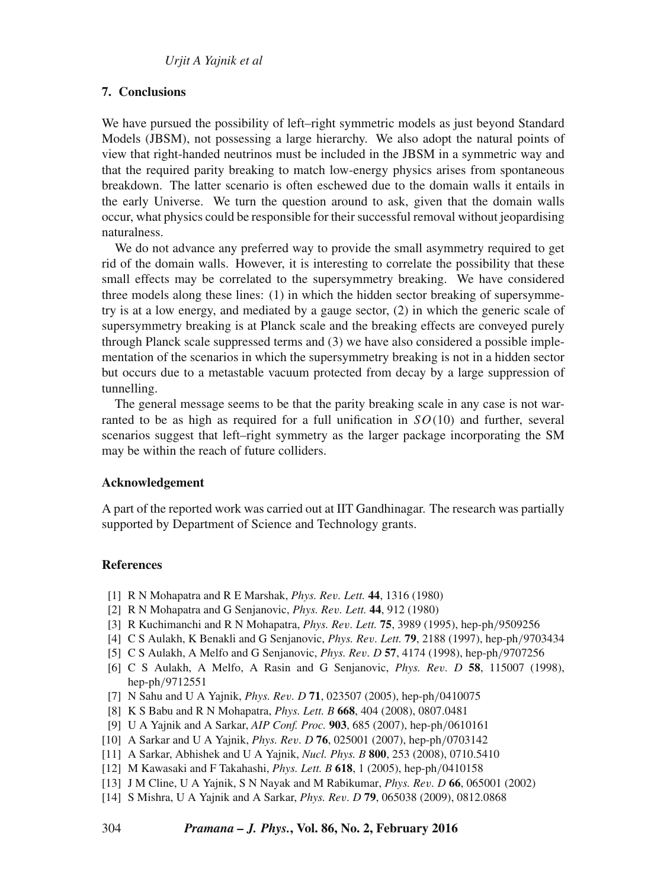# **7. Conclusions**

We have pursued the possibility of left–right symmetric models as just beyond Standard Models (JBSM), not possessing a large hierarchy. We also adopt the natural points of view that right-handed neutrinos must be included in the JBSM in a symmetric way and that the required parity breaking to match low-energy physics arises from spontaneous breakdown. The latter scenario is often eschewed due to the domain walls it entails in the early Universe. We turn the question around to ask, given that the domain walls occur, what physics could be responsible for their successful removal without jeopardising naturalness.

We do not advance any preferred way to provide the small asymmetry required to get rid of the domain walls. However, it is interesting to correlate the possibility that these small effects may be correlated to the supersymmetry breaking. We have considered three models along these lines: (1) in which the hidden sector breaking of supersymmetry is at a low energy, and mediated by a gauge sector, (2) in which the generic scale of supersymmetry breaking is at Planck scale and the breaking effects are conveyed purely through Planck scale suppressed terms and (3) we have also considered a possible implementation of the scenarios in which the supersymmetry breaking is not in a hidden sector but occurs due to a metastable vacuum protected from decay by a large suppression of tunnelling.

The general message seems to be that the parity breaking scale in any case is not warranted to be as high as required for a full unification in  $SO(10)$  and further, several scenarios suggest that left–right symmetry as the larger package incorporating the SM may be within the reach of future colliders.

## **Acknowledgement**

A part of the reported work was carried out at IIT Gandhinagar. The research was partially supported by Department of Science and Technology grants.

# **References**

- [1] R N Mohapatra and R E Marshak, *Phys. Re*v*. Lett.* **44**, 1316 (1980)
- [2] R N Mohapatra and G Senjanovic, *Phys. Re*v*. Lett.* **44**, 912 (1980)
- [3] R Kuchimanchi and R N Mohapatra, *Phys. Re*v*. Lett.* **75**, 3989 (1995), hep-ph/9509256
- [4] C S Aulakh, K Benakli and G Senjanovic, *Phys. Re*v*. Lett.* **79**, 2188 (1997), hep-ph/9703434
- [5] C S Aulakh, A Melfo and G Senjanovic, *Phys. Re*v*. D* **57**, 4174 (1998), hep-ph/9707256
- [6] C S Aulakh, A Melfo, A Rasin and G Senjanovic, *Phys. Re*v*. D* **58**, 115007 (1998), hep-ph/9712551
- [7] N Sahu and U A Yajnik, *Phys. Re*v*. D* **71**, 023507 (2005), hep-ph/0410075
- [8] K S Babu and R N Mohapatra, *Phys. Lett. B* **668**, 404 (2008), 0807.0481
- [9] U A Yajnik and A Sarkar, *AIP Conf. Proc.* **903**, 685 (2007), hep-ph/0610161
- [10] A Sarkar and U A Yajnik, *Phys. Re*v*. D* **76**, 025001 (2007), hep-ph/0703142
- [11] A Sarkar, Abhishek and U A Yajnik, *Nucl. Phys. B* **800**, 253 (2008), 0710.5410
- [12] M Kawasaki and F Takahashi, *Phys. Lett. B* **618**, 1 (2005), hep-ph/0410158
- [13] J M Cline, U A Yajnik, S N Nayak and M Rabikumar, *Phys. Re*v*. D* **66**, 065001 (2002)
- [14] S Mishra, U A Yajnik and A Sarkar, *Phys. Re*v*. D* **79**, 065038 (2009), 0812.0868